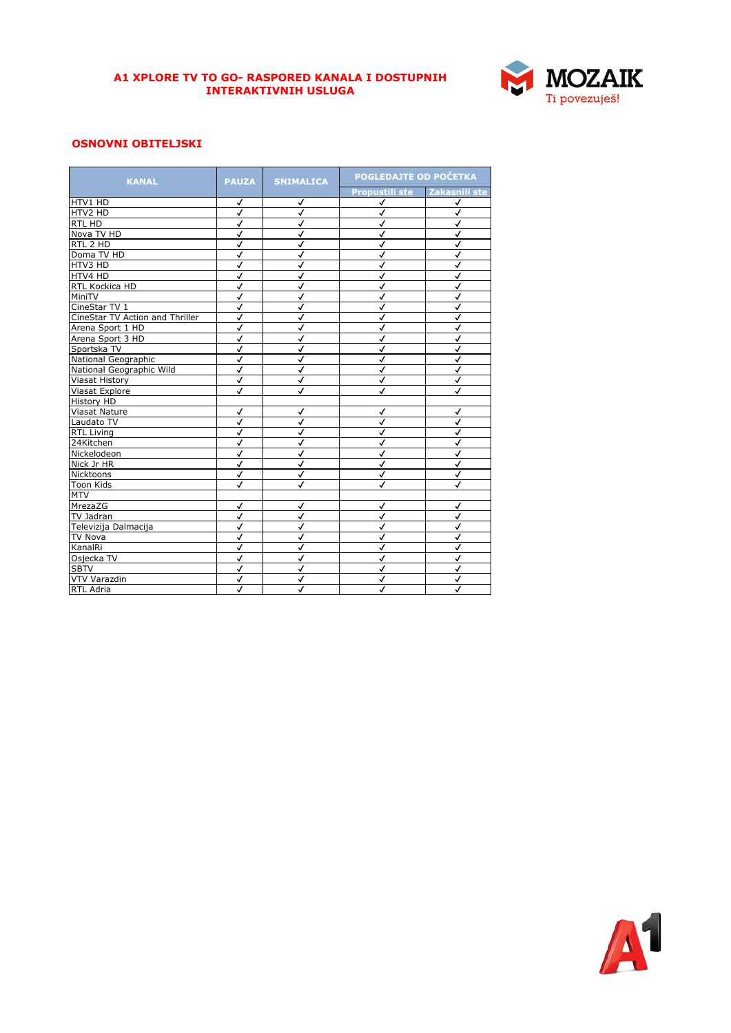

## **OSNOVNI OBITELJSKI**

| <b>KANAL</b>                    | <b>PAUZA</b>            | <b>SNIMALICA</b>        | POGLEDAJTE OD POČETKA |                         |
|---------------------------------|-------------------------|-------------------------|-----------------------|-------------------------|
|                                 |                         |                         | <b>Propustili ste</b> | Zakasnili ste           |
| HTV1 HD                         | ✓                       | ✓                       | √                     | √                       |
| HTV2 HD                         | √                       | $\checkmark$            | ✓                     | $\checkmark$            |
| <b>RTL HD</b>                   | √                       | $\checkmark$            | $\checkmark$          | $\checkmark$            |
| Nova TV HD                      | √                       | √                       | √                     | $\checkmark$            |
| RTL 2 HD                        | √                       | ✓                       | ✓                     | ✓                       |
| Doma TV HD                      | √                       | √                       | √                     | √                       |
| HTV3 HD                         | ✓                       | √                       | √                     | $\checkmark$            |
| HTV4 HD                         | J                       | $\checkmark$            | √                     | $\checkmark$            |
| RTL Kockica HD                  | J                       | $\checkmark$            | $\checkmark$          | $\checkmark$            |
| MiniTV                          | √                       | $\checkmark$            | ✓                     | $\checkmark$            |
| CineStar TV 1                   | √                       | ✓                       | √                     | $\checkmark$            |
| CineStar TV Action and Thriller | ✓                       | √                       | ✓                     | √                       |
| Arena Sport 1 HD                | √                       | √                       | ✓                     | √                       |
| Arena Sport 3 HD                | $\checkmark$            | $\checkmark$            | $\checkmark$          | $\checkmark$            |
| Sportska TV                     | J                       | $\checkmark$            | $\checkmark$          | $\checkmark$            |
| National Geographic             | √                       | $\checkmark$            | √                     | $\checkmark$            |
| National Geographic Wild        | ✓                       | ✓                       | √                     | ✓                       |
| <b>Viasat History</b>           | ✓                       | √                       | ✓                     | √                       |
| Viasat Explore                  | √                       | ✓                       | ✓                     | ✓                       |
| <b>History HD</b>               |                         |                         |                       |                         |
| Viasat Nature                   | $\checkmark$            | $\checkmark$            | ✓                     | $\checkmark$            |
| Laudato TV                      | $\overline{\checkmark}$ | $\checkmark$            | $\checkmark$          | $\overline{\checkmark}$ |
| <b>RTL Living</b>               | √                       | ✓                       | √                     | $\checkmark$            |
| 24Kitchen                       | √                       | √                       | ✓                     | √                       |
| Nickelodeon                     | ✓                       | √                       | √                     | ✓                       |
| Nick Jr HR                      | $\checkmark$            | ✓                       | √                     | $\checkmark$            |
| Nicktoons                       | ✓                       | $\checkmark$            | $\checkmark$          | $\checkmark$            |
| <b>Toon Kids</b>                | $\checkmark$            | $\checkmark$            | $\checkmark$          | $\checkmark$            |
| MTV                             |                         |                         |                       |                         |
| MrezaZG                         | ✓                       | √                       | √                     | √                       |
| TV Jadran                       | ✓                       | √                       | √                     | √                       |
| Televizija Dalmacija            | ✓                       | ✓                       | ✓                     | √                       |
| <b>TV Nova</b>                  | J                       | $\overline{\checkmark}$ | $\checkmark$          | $\checkmark$            |
| KanalRi                         | √                       | $\checkmark$            | $\checkmark$          | $\checkmark$            |
| Osjecka TV                      | √                       | √                       | $\checkmark$          | $\checkmark$            |
| <b>SBTV</b>                     | ✓                       | √                       | ✓                     | √                       |
| <b>VTV Varazdin</b>             | ✓                       | ✓                       | ✓                     | ✓                       |
| <b>RTL Adria</b>                | $\checkmark$            | $\checkmark$            | $\checkmark$          | J                       |

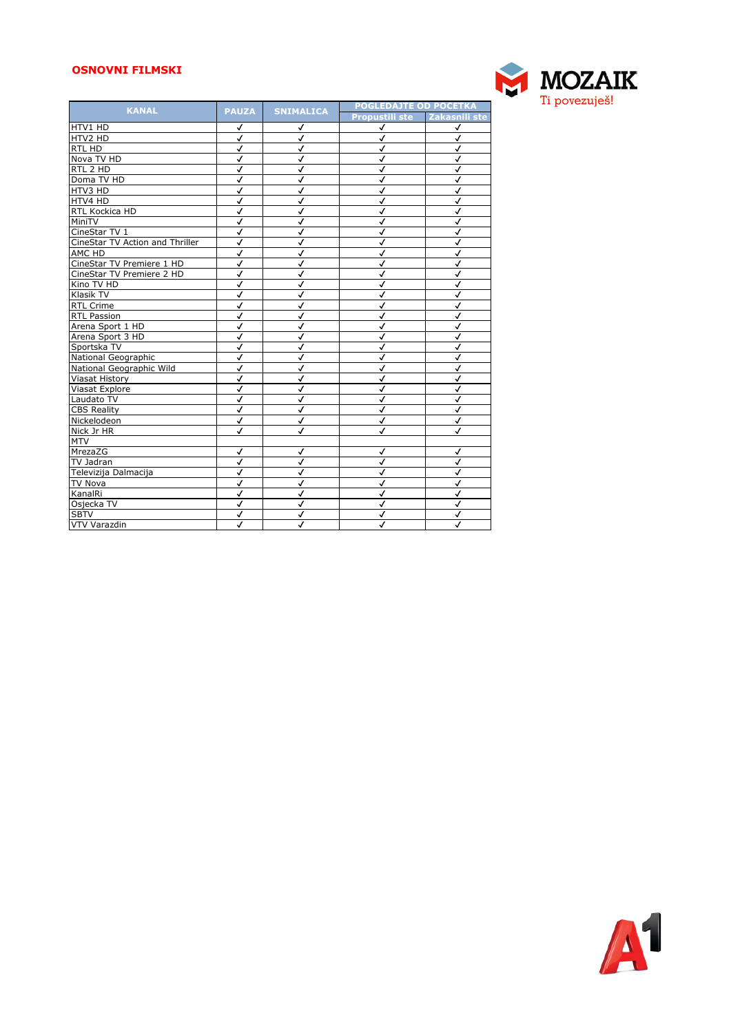## **OSNOVNI FILMSKI**



| <b>KANAL</b>                    | <b>PAUZA</b>            | <b>SNIMALICA</b> | <b>POGLEDAJTE OD POČETKA</b> |                         |
|---------------------------------|-------------------------|------------------|------------------------------|-------------------------|
|                                 |                         |                  | Propustili ste Zakasnili ste |                         |
| HTV1 HD                         | ✓                       | ✓                | √                            | √                       |
| HTV2 HD                         | ✓                       | √                | ✓                            | √                       |
| RTL HD                          | $\checkmark$            | $\checkmark$     | $\checkmark$                 | $\checkmark$            |
| Nova <sub>TV</sub> HD           | $\checkmark$            | $\checkmark$     | $\checkmark$                 | $\checkmark$            |
| RTL 2 HD                        | $\checkmark$            | $\checkmark$     | √                            | $\checkmark$            |
| Doma TV HD                      | ✓                       | ✓                | ✓                            | √                       |
| HTV3 HD                         | $\checkmark$            | √                | ✓                            | √                       |
| HTV4 HD                         | $\checkmark$            | $\checkmark$     | √                            | $\checkmark$            |
| RTL Kockica HD                  | $\checkmark$            | $\checkmark$     | √                            | $\checkmark$            |
| MiniTV                          | √                       | ✓                | √                            | $\checkmark$            |
| CineStar TV 1                   | √                       | ✓                | √                            | ✓                       |
| CineStar TV Action and Thriller | ✓                       | √                | ✓                            | √                       |
| AMC HD                          | J                       | $\checkmark$     | ✓                            | $\checkmark$            |
| CineStar TV Premiere 1 HD       | $\checkmark$            | $\checkmark$     | $\checkmark$                 | $\checkmark$            |
| CineStar TV Premiere 2 HD       | $\overline{\checkmark}$ | $\checkmark$     | $\checkmark$                 | $\checkmark$            |
| Kino TV HD                      | $\checkmark$            | ✓                | √                            | ✓                       |
| Klasik TV                       | √                       | ✓                | ✓                            | √                       |
| <b>RTL Crime</b>                | √                       | √                | √                            | $\checkmark$            |
| <b>RTL Passion</b>              | $\checkmark$            | $\checkmark$     | √                            | $\checkmark$            |
| Arena Sport 1 HD                | $\checkmark$            | $\checkmark$     | $\checkmark$                 | $\checkmark$            |
| Arena Sport 3 HD                | √                       | ✓                | √                            | √                       |
| Sportska TV                     | √                       | ✓                | √                            | ✓                       |
| National Geographic             | √                       | √                | √                            | ✓                       |
| National Geographic Wild        | √                       | $\checkmark$     | $\checkmark$                 | $\checkmark$            |
| Viasat History                  | $\checkmark$            | $\checkmark$     | $\checkmark$                 | $\checkmark$            |
| Viasat Explore                  | $\checkmark$            | $\checkmark$     | √                            | $\checkmark$            |
| Laudato TV                      | √                       | ✓                | ✓                            | √                       |
| <b>CBS Reality</b>              | $\checkmark$            | √                | ✓                            | √                       |
| Nickelodeon                     | $\checkmark$            | $\checkmark$     | $\checkmark$                 | $\checkmark$            |
| Nick Jr HR                      | $\checkmark$            | $\checkmark$     | $\checkmark$                 | $\overline{\checkmark}$ |
| <b>MTV</b>                      |                         |                  |                              |                         |
| MrezaZG                         | ✓                       | √                | ✓                            | √                       |
| TV Jadran                       | $\checkmark$            | ✓                | √                            | $\checkmark$            |
| Televizija Dalmacija            | $\overline{\checkmark}$ | $\checkmark$     | √                            | $\checkmark$            |
| <b>TV Nova</b>                  | $\checkmark$            | $\checkmark$     | $\checkmark$                 | $\checkmark$            |
| KanalRi                         | √                       | $\checkmark$     | √                            | $\checkmark$            |
| Osjecka TV                      | √                       | ✓                | √                            | $\checkmark$            |
| <b>SBTV</b>                     | ✓                       | ✓                | ✓                            | √                       |
| VTV Varazdin                    | J                       | J                | J                            | $\checkmark$            |